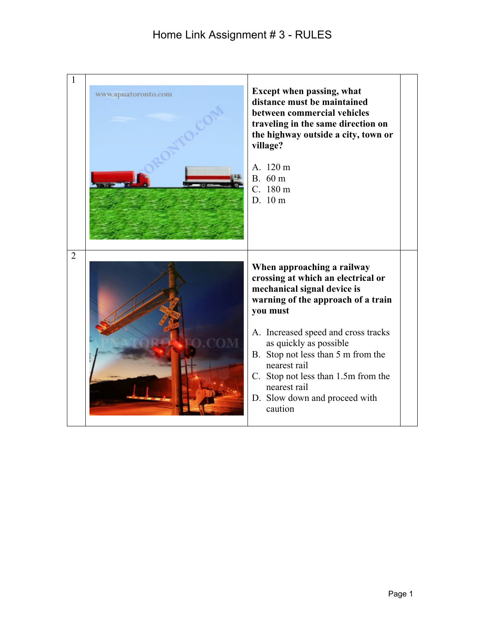| 1              | www.apnatoronto.com | <b>Except when passing, what</b><br>distance must be maintained<br>between commercial vehicles<br>traveling in the same direction on<br>the highway outside a city, town or<br>village?<br>A. 120 m<br>B. 60 m<br>C. 180 m<br>D. 10 m                                                                                                                                       |  |
|----------------|---------------------|-----------------------------------------------------------------------------------------------------------------------------------------------------------------------------------------------------------------------------------------------------------------------------------------------------------------------------------------------------------------------------|--|
| $\overline{2}$ |                     | When approaching a railway<br>crossing at which an electrical or<br>mechanical signal device is<br>warning of the approach of a train<br>you must<br>A. Increased speed and cross tracks<br>as quickly as possible<br>B. Stop not less than 5 m from the<br>nearest rail<br>C. Stop not less than 1.5m from the<br>nearest rail<br>D. Slow down and proceed with<br>caution |  |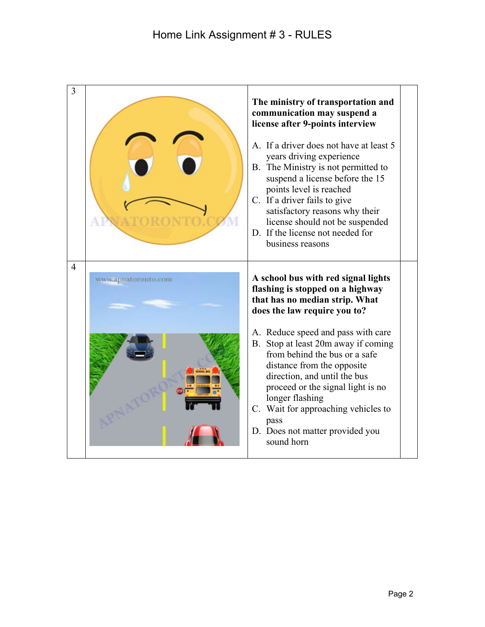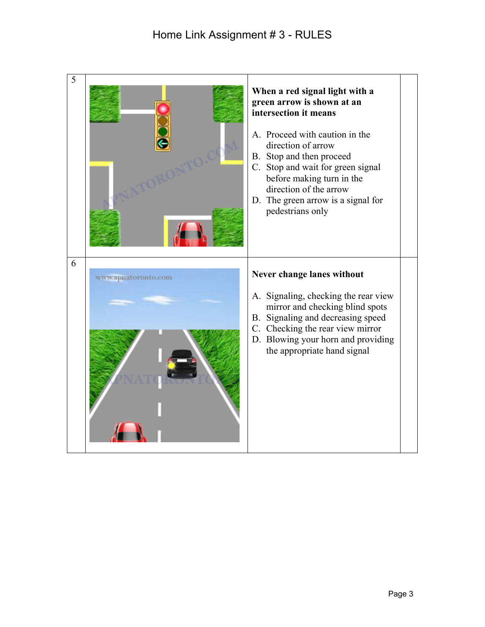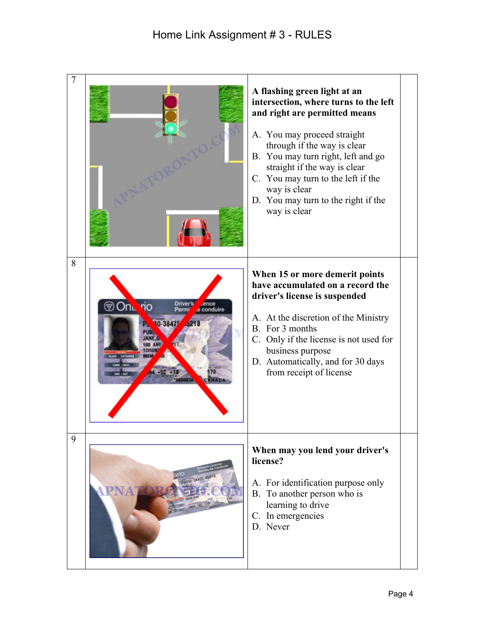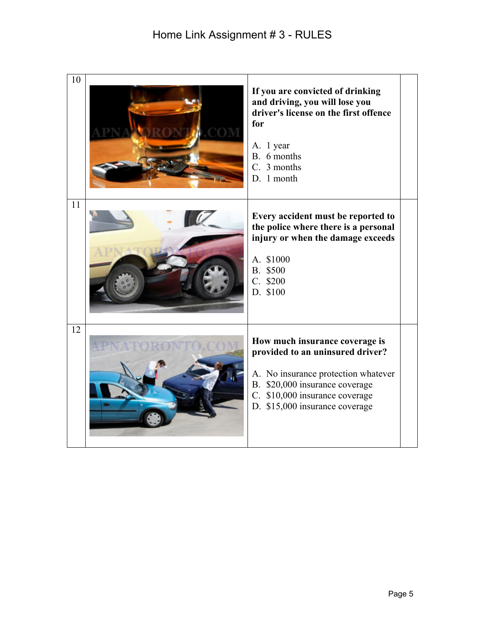| 10 | If you are convicted of drinking<br>and driving, you will lose you<br>driver's license on the first offence<br>for<br>A. 1 year<br>B. 6 months<br>C. 3 months<br>D. 1 month                                     |
|----|-----------------------------------------------------------------------------------------------------------------------------------------------------------------------------------------------------------------|
| 11 | Every accident must be reported to<br>the police where there is a personal<br>injury or when the damage exceeds<br>A. \$1000<br>B. \$500<br>C. \$200<br>D. \$100                                                |
| 12 | How much insurance coverage is<br>provided to an uninsured driver?<br>A. No insurance protection whatever<br>B. \$20,000 insurance coverage<br>C. \$10,000 insurance coverage<br>D. \$15,000 insurance coverage |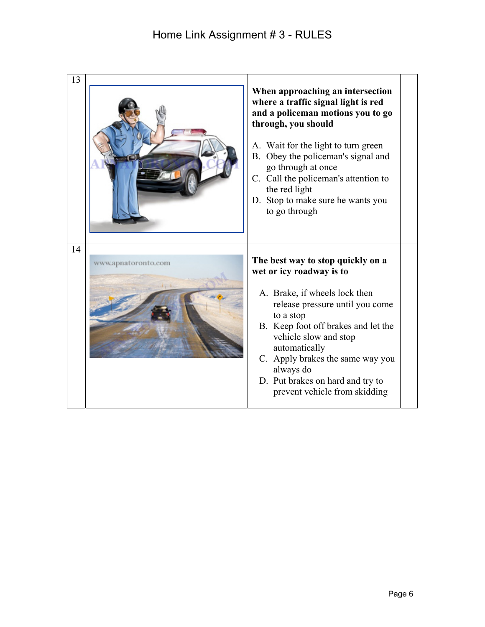| 13 |                     | When approaching an intersection<br>where a traffic signal light is red<br>and a policeman motions you to go<br>through, you should<br>A. Wait for the light to turn green<br>B. Obey the policeman's signal and<br>go through at once<br>C. Call the policeman's attention to<br>the red light<br>D. Stop to make sure he wants you<br>to go through |
|----|---------------------|-------------------------------------------------------------------------------------------------------------------------------------------------------------------------------------------------------------------------------------------------------------------------------------------------------------------------------------------------------|
| 14 | www.apnatoronto.com | The best way to stop quickly on a<br>wet or icy roadway is to<br>A. Brake, if wheels lock then<br>release pressure until you come<br>to a stop<br>B. Keep foot off brakes and let the<br>vehicle slow and stop<br>automatically<br>C. Apply brakes the same way you<br>always do<br>D. Put brakes on hard and try to<br>prevent vehicle from skidding |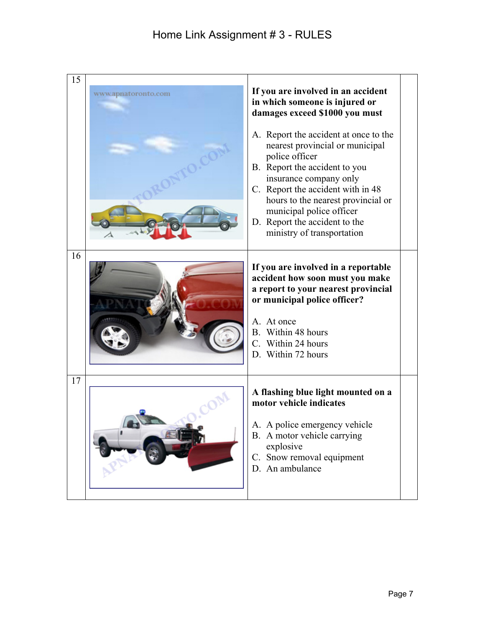| 15 | www.apnatoronto.com | If you are involved in an accident<br>in which someone is injured or<br>damages exceed \$1000 you must                                                                                                                                                                                                                      |
|----|---------------------|-----------------------------------------------------------------------------------------------------------------------------------------------------------------------------------------------------------------------------------------------------------------------------------------------------------------------------|
|    |                     | A. Report the accident at once to the<br>nearest provincial or municipal<br>police officer<br>B. Report the accident to you<br>insurance company only<br>C. Report the accident with in 48<br>hours to the nearest provincial or<br>municipal police officer<br>D. Report the accident to the<br>ministry of transportation |
| 16 |                     | If you are involved in a reportable<br>accident how soon must you make<br>a report to your nearest provincial<br>or municipal police officer?<br>A. At once<br>B. Within 48 hours<br>C. Within 24 hours<br>D. Within 72 hours                                                                                               |
| 17 |                     | A flashing blue light mounted on a<br>motor vehicle indicates<br>A. A police emergency vehicle<br>B. A motor vehicle carrying<br>explosive<br>C. Snow removal equipment<br>D. An ambulance                                                                                                                                  |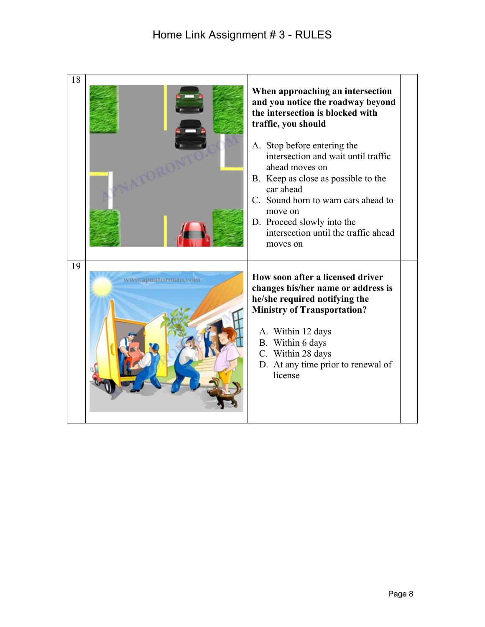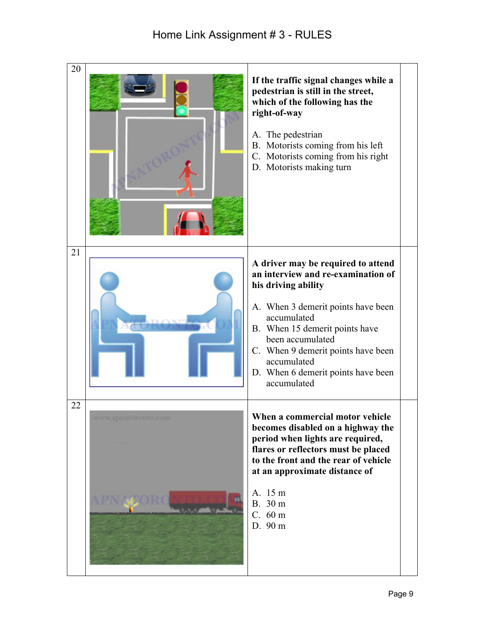